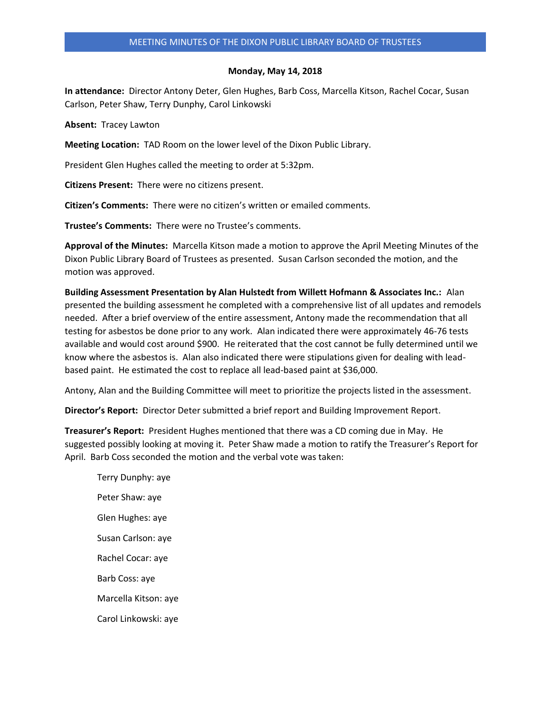#### **Monday, May 14, 2018**

**In attendance:** Director Antony Deter, Glen Hughes, Barb Coss, Marcella Kitson, Rachel Cocar, Susan Carlson, Peter Shaw, Terry Dunphy, Carol Linkowski

**Absent:** Tracey Lawton

**Meeting Location:** TAD Room on the lower level of the Dixon Public Library.

President Glen Hughes called the meeting to order at 5:32pm.

**Citizens Present:** There were no citizens present.

**Citizen's Comments:** There were no citizen's written or emailed comments.

**Trustee's Comments:** There were no Trustee's comments.

**Approval of the Minutes:** Marcella Kitson made a motion to approve the April Meeting Minutes of the Dixon Public Library Board of Trustees as presented. Susan Carlson seconded the motion, and the motion was approved.

**Building Assessment Presentation by Alan Hulstedt from Willett Hofmann & Associates Inc.:** Alan presented the building assessment he completed with a comprehensive list of all updates and remodels needed. After a brief overview of the entire assessment, Antony made the recommendation that all testing for asbestos be done prior to any work. Alan indicated there were approximately 46-76 tests available and would cost around \$900. He reiterated that the cost cannot be fully determined until we know where the asbestos is. Alan also indicated there were stipulations given for dealing with leadbased paint. He estimated the cost to replace all lead-based paint at \$36,000.

Antony, Alan and the Building Committee will meet to prioritize the projects listed in the assessment.

**Director's Report:** Director Deter submitted a brief report and Building Improvement Report.

**Treasurer's Report:** President Hughes mentioned that there was a CD coming due in May. He suggested possibly looking at moving it. Peter Shaw made a motion to ratify the Treasurer's Report for April. Barb Coss seconded the motion and the verbal vote was taken:

Terry Dunphy: aye Peter Shaw: aye Glen Hughes: aye Susan Carlson: aye Rachel Cocar: aye Barb Coss: aye Marcella Kitson: aye Carol Linkowski: aye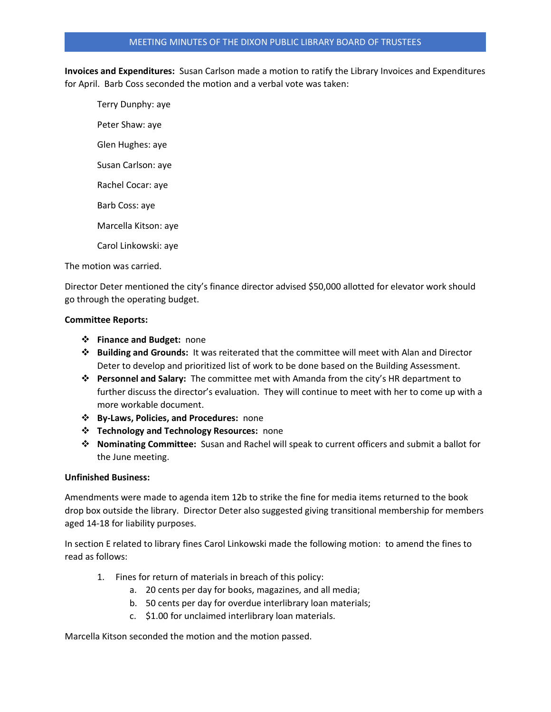## MEETING MINUTES OF THE DIXON PUBLIC LIBRARY BOARD OF TRUSTEES

**Invoices and Expenditures:** Susan Carlson made a motion to ratify the Library Invoices and Expenditures for April. Barb Coss seconded the motion and a verbal vote was taken:

Terry Dunphy: aye Peter Shaw: aye Glen Hughes: aye Susan Carlson: aye Rachel Cocar: aye Barb Coss: aye Marcella Kitson: aye Carol Linkowski: aye

The motion was carried.

Director Deter mentioned the city's finance director advised \$50,000 allotted for elevator work should go through the operating budget.

## **Committee Reports:**

- ❖ **Finance and Budget:** none
- ❖ **Building and Grounds:** It was reiterated that the committee will meet with Alan and Director Deter to develop and prioritized list of work to be done based on the Building Assessment.
- ❖ **Personnel and Salary:** The committee met with Amanda from the city's HR department to further discuss the director's evaluation. They will continue to meet with her to come up with a more workable document.
- ❖ **By-Laws, Policies, and Procedures:** none
- ❖ **Technology and Technology Resources:** none
- ❖ **Nominating Committee:** Susan and Rachel will speak to current officers and submit a ballot for the June meeting.

## **Unfinished Business:**

Amendments were made to agenda item 12b to strike the fine for media items returned to the book drop box outside the library. Director Deter also suggested giving transitional membership for members aged 14-18 for liability purposes.

In section E related to library fines Carol Linkowski made the following motion: to amend the fines to read as follows:

- 1. Fines for return of materials in breach of this policy:
	- a. 20 cents per day for books, magazines, and all media;
	- b. 50 cents per day for overdue interlibrary loan materials;
	- c. \$1.00 for unclaimed interlibrary loan materials.

Marcella Kitson seconded the motion and the motion passed.